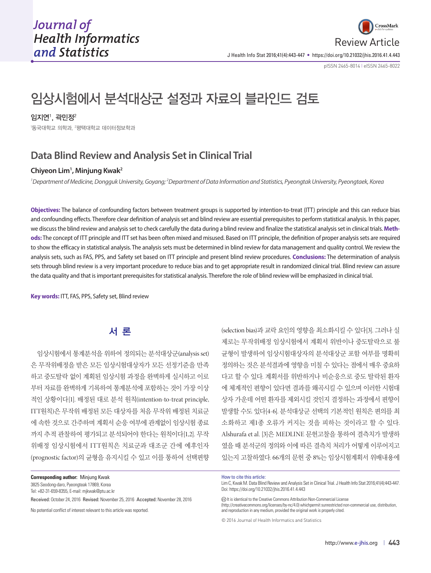

J Health Info Stat 2016;41(4):443-447 • https://doi.org/10.21032/jhis.2016.41.4.443

pISSN 2465-8014 **|** eISSN 2465-8022

# 임상시험에서 분석대상군 설정과 자료의 블라인드 검토

 $2$ 지연 $\dot{}$ , 곽민정 $^2$ 

 $^{\rm I}$ 동국대학교 의학과,  $^{\rm 2}$ 평택대학교 데이터정보학과

## **Data Blind Review and Analysis Set in Clinical Trial**

### **Chiyeon Lim1 , Minjung Kwak2**

<sup>1</sup> Department of Medicine, Dongguk University, Goyang; <sup>2</sup> Department of Data Information and Statistics, Pyeongtak University, Pyeongtaek, Korea

**Objectives:** The balance of confounding factors between treatment groups is supported by intention-to-treat (ITT) principle and this can reduce bias and confounding effects. Therefore clear definition of analysis set and blind review are essential prerequisites to perform statistical analysis. In this paper, we discuss the blind review and analysis set to check carefully the data during a blind review and finalize the statistical analysis set in clinical trials. **Methods:** The concept of ITT principle and ITT set has been often mixed and misused. Based on ITT principle, the definition of proper analysis sets are required to show the efficacy in statistical analysis. The analysis sets must be determined in blind review for data management and quality control. We review the analysis sets, such as FAS, PPS, and Safety set based on ITT principle and present blind review procedures. **Conclusions:** The determination of analysis sets through blind review is a very important procedure to reduce bias and to get appropriate result in randomized clinical trial. Blind review can assure the data quality and that is important prerequisites for statistical analysis. Therefore the role of blind review will be emphasized in clinical trial.

**Key words:** ITT, FAS, PPS, Safety set, Blind review

## 서 론

임상시험에서 통계분석을 위하여 정의되는 분석대상군(analysis set) 은 무작위배정을 받은 모든 임상시험대상자가 모든 선정기준을 만족 하고 중도탈락 없이 계획된 임상시험 과정을 완벽하게 실시하고 이로 부터 자료를 완벽하게 기록하여 통계분석에 포함하는 것이 가장 이상 적인 상황이다[1]. 배정된 대로 분석 원칙(intention-to-treat principle, ITT원칙)은 무작위 배정된 모든 대상자를 처음 무작위 배정된 치료군 에 속한 것으로 간주하며 계획서 순응 여부에 관계없이 임상시험 종료 까지 추적 관찰하여 평가되고 분석되어야 한다는 원칙이다[1,2]. 무작 위배정 임상시험에서 ITT원칙은 치료군과 대조군 간에 예후인자 (prognostic factor)의 균형을 유지시킬 수 있고 이를 통하여 선택편향

**Corresponding author:** Minjung Kwak 3825 Seodong-daro, Pyeongteak 17869, Korea

Tel: +82-31-659-8355, E-mail: mjkwak@ptu.ac.kr

Received: October 24, 2016 Revised: November 25, 2016 Accepted: November 28, 2016

No potential conflict of interest relevant to this article was reported.

(selection bias)과 교락 요인의 영향을 최소화시킬 수 있다[3]. 그러나 실 제로는 무작위배정 임상시험에서 계획서 위반이나 중도탈락으로 불 균형이 발생하여 임상시험대상자의 분석대상군 포함 여부를 명확히 정의하는 것은 분석결과에 영향을 미칠 수 있다는 점에서 매우 중요하 다고 할 수 있다. 계획서를 위반하거나 비순응으로 중도 탈락된 환자 에 체계적인 편향이 있다면 결과를 왜곡시킬 수 있으며 이러한 시험대 상자 가운데 어떤 환자를 제외시킬 것인지 결정하는 과정에서 편향이 발생할 수도 있다[4-6]. 분석대상군 선택의 기본적인 원칙은 편의를 최 소화하고 제1종 오류가 커지는 것을 피하는 것이라고 할 수 있다. Alshurafa et al. [3]은 MEDLINE 문헌고찰을 통하여 결측치가 발생하 였을 때 분석군의 정의와 이에 따른 결측치 처리가 어떻게 이루어지고 있는지 고찰하였다. 66개의 문헌 중 8%는 임상시험계획서 위배내용에

How to cite this article:

Lim C, Kwak M. Data Blind Review and Analysis Set in Clinical Trial. J Health Info Stat 2016;41(4):443-447. Doi: https://doi.org/10.21032/jhis.2016.41.4.443

It is identical to the Creative Commons Attribution Non-Commercial License (http://creativecommons.org/licenses/by-nc/4.0) whichpermit sunrestricted non-commercial use, distribution, and reproduction in any medium, provided the original work is properly cited.

<sup>© 2016</sup> Journal of Health Informatics and Statistics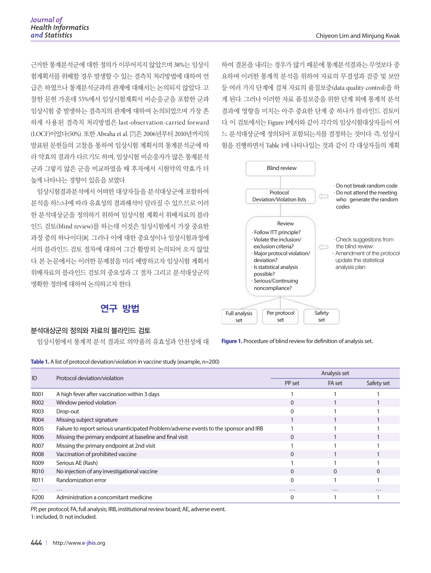근거한 통계분석군에 대한 정의가 이루어지지 않았으며 38%는 임상시 험계획서를 위배할 경우 발생할 수 있는 결측치 처리방법에 대하여 언 급은 하였으나 통계분석군과의 관계에 대해서는 논의되지 않았다. 고 찰한 문헌 가운데 55%에서 임상시험계획서 비순응군을 포함한 군과 임상시험 중 발생하는 결측치의 관계에 대하여 논의되었으며 가장 흔 하게 사용된 결측치 처리방법은 last-observation-carried forward (LOCF)이었다(50%). 또한 Abraha et al. [7]은 2006년부터 2010년까지의 발표된 문헌들의 고찰을 통하여 임상시험 계획서의 통계분석군에 따 라 약효의 결과가 다르기도 하며, 임상시험 비순응자가 많은 통계분석 군과 그렇지 않은 군을 비교하였을 때 후자에서 시험약의 약효가 더 높게 나타나는 경향이 있음을 보였다.

임상시험결과분석에서 어떠한 대상자들을 분석대상군에 포함하여 분석을 하느냐에 따라 유효성의 결과해석이 달라질 수 있으므로 이러 한 분석대상군을 정의하기 위하여 임상시험 계획서 위배자료의 블라 인드 검토(blind review)를 하는데 이것은 임상시험에서 가장 중요한 과정 중의 하나이다[8]. 그러나 이에 대한 중요성이나 임상시험과정에 서의 블라인드 검토 절차에 대하여 그간 활발히 논의되어 오지 않았 다. 본 논문에서는 이러한 문제점을 미리 예방하고자 임상시험 계획서 위배자료의 블라인드 검토의 중요성과 그 절차 그리고 분석대상군의 명확한 정의에 대하여 논의하고자 한다.

## 연구 방법

#### 분석대상군의 정의와 자료의 블라인드 검토

임상시험에서 통계적 분석 결과로 의약품의 유효성과 안전성에 대

하여 결론을 내리는 경우가 많기 때문에 통계분석결과는 무엇보다 중 요하며 이러한 통계적 분석을 위하여 자료의 무결성과 검증 및 보안 등 여러 가지 단계에 걸쳐 자료의 품질보증(data quality control)을 하 게 된다. 그러나 이러한 자료 품질보증을 위한 단계 외에 통계적 분석 결과에 영향을 미치는 아주 중요한 단계 중 하나가 블라인드 검토이 다. 이 검토에서는 Figure 1에서와 같이 각각의 임상시험대상자들이 어 느 분석대상군에 정의되어 포함되는지를 결정하는 것이다. 즉, 임상시 험을 진행하면서 Table 1에 나타나있는 것과 같이 각 대상자들의 계획



**Figure 1.** Procedure of blind review for definition of analysis set.

**Table 1.** A list of protocol deviation/violation in vaccine study (example, n=200)

| ID               | Protocol deviation/violation                                                          | Analysis set |          |            |
|------------------|---------------------------------------------------------------------------------------|--------------|----------|------------|
|                  |                                                                                       | PP set       | FA set   | Safety set |
| R001             | A high fever after vaccination within 3 days                                          |              |          |            |
| R002             | Window period violation                                                               | 0            |          |            |
| R003             | Drop-out                                                                              | O            |          |            |
| R004             | Missing subject signature                                                             |              |          |            |
| R005             | Failure to report serious unanticipated Problem/adverse events to the sponsor and IRB |              |          |            |
| R006             | Missing the primary endpoint at baseline and final visit                              | $\Omega$     |          |            |
| <b>R007</b>      | Missing the primary endpoint at 2nd visit                                             |              |          |            |
| <b>R008</b>      | Vaccination of prohibited vaccine                                                     | $\Omega$     |          |            |
| R009             | Serious AE (Rash)                                                                     |              |          |            |
| R010             | No injection of any investigational vaccine                                           | $\Omega$     | $\Omega$ |            |
| R011             | Randomization error                                                                   | 0            |          |            |
| $\cdots$         | .                                                                                     | $\cdots$     | $\cdots$ | $\cdots$   |
| R <sub>200</sub> | Administration a concomitant medicine                                                 |              |          |            |

PP, per protocol; FA, full analysis; IRB, institutional review board; AE, adverse event. 1: included, 0: not included.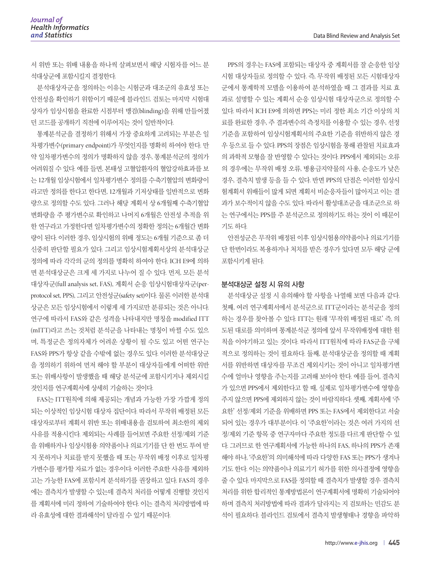서 위반 또는 위배 내용을 하나씩 살펴보면서 해당 시험자를 어느 분 석대상군에 포함시킬지 결정한다.

분석대상자군을 정의하는 이유는 시험군과 대조군의 유효성 또는 안전성을 확인하기 위함이기 때문에 블라인드 검토는 마지막 시험대 상자가 임상시험을 완료한 시점부터 맹검(blinding)을 위해 만들어졌 던 코드를 공개하기 직전에 이루어지는 것이 일반적이다.

통계분석군을 결정하기 위해서 가장 중요하게 고려되는 부분은 일 차평가변수(primary endpoint)가 무엇인지를 명확히 하여야 한다. 만 약 일차평가변수의 정의가 명확하지 않을 경우, 통계분석군의 정의가 어려워질 수 있다. 예를 들면, 본태성 고혈압환자의 혈압강하효과를 보 는 12개월 임상시험에서 일차평가변수 정의를 수축기혈압의 변화량이 라고만 정의를 한다고 한다면, 12개월과 기저상태를 일반적으로 변화 량으로 정의할 수도 있다. 그러나 해당 계획서 상 6개월째 수축기혈압 변화량을 주 평가변수로 확인하고 나머지 6개월은 안전성 추적을 위 한 연구라고 가정한다면 일차평가변수의 정확한 정의는 6개월간 변화 량이 된다. 이러한 경우, 임상시험의 위배 정도는 6개월 기준으로 좀 더 신중히 판단할 필요가 있다. 그리고 임상시험계획서상의 분석대상군 정의에 따라 각각의 군의 정의를 명확히 하여야 한다. ICH E9에 의하 면 분석대상군은 크게 세 가지로 나누어 질 수 있다. 먼저, 모든 분석 대상자군(full analysis set, FAS), 계획서 순응 임상시험대상자군(perprotocol set, PPS), 그리고 안전성군(safety set)이다. 물론 이러한 분석대 상군은 모든 임상시험에서 이렇게 세 가지로만 분류되는 것은 아니다. 연구에 따라서 FAS와 같은 성격을 나타내지만 명칭을 modified ITT (mITT)라고 쓰는 것처럼 분석군을 나타내는 명칭이 바뀔 수도 있으 며, 특정군은 정의자체가 어려운 상황이 될 수도 있고 어떤 연구는 FAS와 PPS가 항상 같을 수밖에 없는 경우도 있다. 이러한 분석대상군 을 정의하기 위하여 먼저 해야 할 부분이 대상자들에게 어떠한 위반 또는 위배사항이 발생했을 때 해당 분석군에 포함시키거나 제외시킬 것인지를 연구계획서에 상세히 기술하는 것이다.

FAS는 ITT원칙에 의해 제공되는 개념과 가능한 가장 가깝게 정의 되는 이상적인 임상시험 대상자 집단이다. 따라서 무작위 배정된 모든 대상자로부터 계획서 위반 또는 위배내용을 검토하여 최소한의 제외 사유를 적용시킨다. 제외되는 사례를 들어보면 주요한 선정/제외 기준 을 위배하거나 임상시험용 의약품이나 의료기기를 단 한 번도 투여 받 지 못하거나 치료를 받지 못했을 때 또는 무작위 배정 이후로 일차평 가변수를 평가할 자료가 없는 경우이다. 이러한 주요한 사유를 제외하 고는 가능한 FAS에 포함시켜 분석하기를 권장하고 있다. FAS의 경우 에는 결측치가 발생할 수 있는데 결측치 처리를 어떻게 진행할 것인지 를 계획서에 미리 정하여 기술하여야 한다. 이는 결측치 처리방법에 따 라 유효성에 대한 결과해석이 달라질 수 있기 때문이다.

PPS의 경우는 FAS에 포함되는 대상자 중 계획서를 잘 순응한 임상 시험 대상자들로 정의할 수 있다. 즉, 무작위 배정된 모든 시험대상자 군에서 통계학적 모델을 이용하여 분석하였을 때 그 결과를 치료 효 과로 설명할 수 있는 계획서 순응 임상시험 대상자군으로 정의할 수 있다. 따라서 ICH E9에 의하면 PPS는 미리 정한 최소 기간 이상의 치 료를 완료한 경우, 주 결과변수의 측정치를 이용할 수 있는 경우, 선정 기준을 포함하여 임상시험계획서의 주요한 기준을 위반하지 않은 경 우 등으로 들 수 있다. PPS의 장점은 임상시험을 통해 관찰된 치료효과 의 과학적 모형을 잘 반영할 수 있다는 것이다. PPS에서 제외되는 오류 의 경우에는 무작위 배정 오류, 병용금지약물의 사용, 순응도가 낮은 경우, 결측치 발생 등을 들 수 있다. 반면 PPS의 단점은 이러한 임상시 험계획서 위배들이 많게 되면 계획서 비순응자들이 많아지고 이는 결 과가 보수적이지 않을 수도 있다. 따라서 활성대조군을 대조군으로 하 는 연구에서는 PPS를 주 분석군으로 정의하기도 하는 것이 이 때문이 기도 하다.

안전성군은 무작위 배정된 이후 임상시험용의약품이나 의료기기를 단 한번이라도 복용하거나 처치를 받은 경우가 있다면 모두 해당 군에 포함시키게 된다.

#### 분석대상군 설정 시 유의 사항

분석대상군 설정 시 유의해야 할 사항을 나열해 보면 다음과 같다. 첫째, 여러 연구계획서에서 분석군으로 ITT군이라는 분석군을 정의 하는 경우를 찾아볼 수 있다. ITT는 원래 '무작위 배정된 대로' 즉, 의 도된 대로를 의미하며 통계분석군 정의에 앞서 무작위배정에 대한 원 칙을 이야기하고 있는 것이다. 따라서 ITT원칙에 따라 FAS군을 구체 적으로 정의하는 것이 필요하다. 둘째, 분석대상군을 정의할 때 계획 서를 위반하면 대상자를 무조건 제외시키는 것이 아니고 일차평가변 수에 얼마나 영향을 주는지를 고려해 보아야 한다. 예를 들어, 결측치 가 있으면 PPS에서 제외한다고 할 때, 실제로 일차평가변수에 영향을 주지 않으면 PPS에 제외하지 않는 것이 바람직하다. 셋째, 계획서에 '주 요한' 선정/제외 기준을 위배하면 PPS 또는 FAS에서 제외한다고 서술 되어 있는 경우가 대부분이다. 이 '주요한'이라는 것은 여러 가지의 선 정/제외 기준 항목 중 연구자마다 주요한 정도를 다르게 판단할 수 있 다. 그러므로 한 연구계획서에 가능한 하나의 FAS, 하나의 PPS가 존재 해야 하나, '주요한'의 의미해석에 따라 다양한 FAS 또는 PPS가 생겨나 기도 한다. 이는 의약품이나 의료기기 허가를 위한 의사결정에 영향을 줄 수 있다. 마지막으로 FAS를 정의할 때 결측치가 발생할 경우 결측치 처리를 위한 합리적인 통계방법론이 연구계획서에 명확히 기술되어야 하며 결측치 처리방법에 따라 결과가 달라지는 지 검토하는 민감도 분 석이 필요하다. 블라인드 검토에서 결측치 발생형태나 경향을 파악하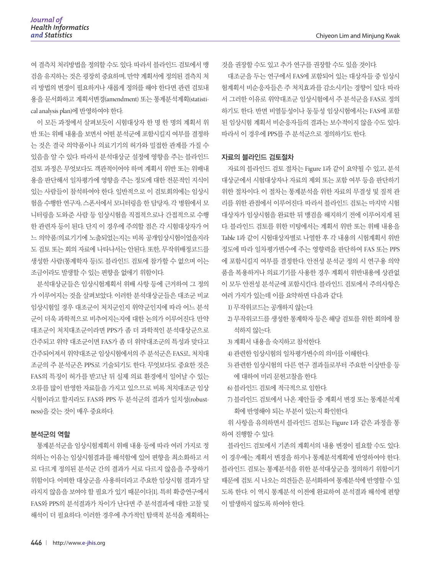여 결측치 처리방법을 정의할 수도 있다. 따라서 블라인드 검토에서 맹 검을 유지하는 것은 굉장히 중요하며, 만약 계획서에 정의된 결측치 처 리 방법의 변경이 필요하거나 새롭게 정의를 해야 한다면 관련 검토내 용을 문서화하고 계획서변경(amendment) 또는 통계분석계획(statistical analysis plan)에 반영하여야 한다.

이 모든 과정에서 살펴보듯이 시험대상자 한 명 한 명의 계획서 위 반 또는 위배 내용을 보면서 어떤 분석군에 포함시킬지 여부를 결정하 는 것은 결국 의약품이나 의료기기의 허가와 밀접한 관계를 가질 수 있음을 알 수 있다. 따라서 분석대상군 설정에 영향을 주는 블라인드 검토 과정은 무엇보다도 객관적이어야 하며 계획서 위반 또는 위배내 용을 판단해서 일차평가에 영향을 주는 정도에 대한 전문적인 지식이 있는 사람들이 참석하여야 한다. 일반적으로 이 검토회의에는 임상시 험을 수행한 연구자, 스폰서에서 모니터링을 한 담당자, 각 병원에서 모 니터링을 도와준 사람 등 임상시험을 직접적으로나 간접적으로 수행 한 관련자 등이 된다. 단지 이 경우에 주의할 점은 각 시험대상자가 어 느 의약품/의료기기에 노출되었는지는 비록 공개임상시험이었을지라 도 검토 또는 회의 자료에 나타나서는 안된다. 또한, 무작위배정코드를 생성한 사람(통계학자 등)도 블라인드 검토에 참가할 수 없으며 이는 조금이라도 발생할 수 있는 편향을 없애기 위함이다.

분석대상군들은 임상시험계획서 위배 사항 등에 근거하여 그 정의 가 이루어지는 것을 살펴보았다. 이러한 분석대상군들은 대조군 비교 임상시험일 경우 대조군이 처치군인지 위약군인지에 따라 어느 분석 군이 더욱 과학적으로 비추어지는지에 대한 논의가 이루어진다. 만약 대조군이 처치대조군이라면 PPS가 좀 더 과학적인 분석대상군으로 간주되고 위약 대조군이면 FAS가 좀 더 위약대조군의 특성과 맞다고 간주되어져서 위약대조군 임상시험에서의 주 분석군은 FAS로, 처치대 조군의 주 분석군은 PPS로 기술되기도 한다. 무엇보다도 중요한 것은 FAS의 특징이 허가를 받고난 뒤 실제 의료 환경에서 일어날 수 있는 오류를 많이 반영한 자료들을 가지고 있으므로 비록 처치대조군 임상 시험이라고 할지라도 FAS와 PPS 두 분석군의 결과가 일치성(robustness)을 갖는 것이 매우 중요하다.

#### 분석군의 역할

통계분석군을 임상시험계획서 위배 내용 등에 따라 여러 가지로 정 의하는 이유는 임상시험결과를 해석함에 있어 편향을 최소화하고 서 로 다르게 정의된 분석군 간의 결과가 서로 다르지 않음을 주장하기 위함이다. 어떠한 대상군을 사용하더라고 주요한 임상시험 결과가 달 라지지 않음을 보여야 할 필요가 있기 때문이다[1]. 특히 확증연구에서 FAS와 PPS의 분석결과가 차이가 난다면 주 분석결과에 대한 고찰 및 해석이 더 필요하다. 이러한 경우에 추가적인 탐색적 분석을 계획하는 것을 권장할 수도 있고 추가 연구를 권장할 수도 있을 것이다.

대조군을 두는 연구에서 FAS에 포함되어 있는 대상자들 중 임상시 험계획서 비순응자들은 주 처치효과를 감소시키는 경향이 있다. 따라 서 그러한 이유로 위약대조군 임상시험에서 주 분석군을 FAS로 정의 하기도 한다. 반면 비열등성이나 동등성 임상시험에서는 FAS에 포함 된 임상시험 계획서 비순응자들의 결과는 보수적이지 않을 수도 있다. 따라서 이 경우에 PPS를 주 분석군으로 정의하기도 한다.

#### 자료의 블라인드 검토절차

자료의 블라인드 검토 절차는 Figure 1과 같이 요약될 수 있고, 분석 대상군에서 시험대상자나 자료의 제외 또는 포함 여부 등을 판단하기 위한 절차이다. 이 절차는 통계분석을 위한 자료의 무결성 및 질적 관 리를 위한 관점에서 이루어진다. 따라서 블라인드 검토는 마지막 시험 대상자가 임상시험을 완료한 뒤 맹검을 해지하기 전에 이루어지게 된 다. 블라인드 검토를 위한 미팅에서는 계획서 위반 또는 위배 내용을 Table 1과 같이 시험대상자별로 나열한 후 각 내용의 시험계획서 위반 정도에 따라 일차평가변수에 주는 영향력을 판단하여 FAS 또는 PPS 에 포함시킬지 여부를 결정한다. 안전성 분석군 정의 시 연구용 의약 품을 복용하거나 의료기기를 사용한 경우 계획서 위반내용에 상관없 이 모두 안전성 분석군에 포함시킨다. 블라인드 검토에서 주의사항은 여러 가지가 있는데 이를 요약하면 다음과 같다.

- 1) 무작위코드는 공개하지 않는다.
- 2) 무작위코드를 생성한 통계학자 등은 해당 검토를 위한 회의에 참 석하지 않는다.
- 3) 계획서 내용을 숙지하고 참석한다.
- 4) 관련한 임상시험의 일차평가변수의 의미를 이해한다.
- 5) 관련한 임상시험의 다른 연구 결과들로부터 주요한 이상반응 등 에 대하여 미리 문헌고찰을 한다.
- 6) 블라인드 검토에 적극적으로 임한다.
- 7) 블라인드 검토에서 나온 제안들 중 계획서 변경 또는 통계분석계 획에 반영해야 되는 부분이 있는지 확인한다.

위 사항을 유의하면서 블라인드 검토는 Figure 1과 같은 과정을 통 하여 진행할 수 있다.

블라인드 검토에서 기존의 계획서의 내용 변경이 필요할 수도 있다. 이 경우에는 계획서 변경을 하거나 통계분석계획에 반영하여야 한다. 블라인드 검토는 통계분석을 위한 분석대상군을 정의하기 위함이기 때문에 검토 시 나오는 의견들은 문서화하여 통계분석에 반영할 수 있 도록 한다. 이 역시 통계분석 이전에 완료하여 분석결과 해석에 편향 이 발생하지 않도록 하여야 한다.